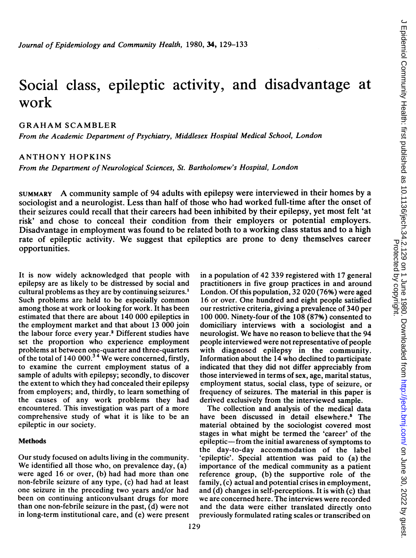# Social class, epileptic activity, and disadvantage at work

# GRAHAM SCAMBLER

From the Academic Department of Psychiatry, Middlesex Hospital Medical School, London

# ANTHONY HOPKINS

From the Department of Neurological Sciences, St. Bartholomew's Hospital, London

SUMMARY A community sample of <sup>94</sup> adults with epilepsy were interviewed in their homes by <sup>a</sup> sociologist and a neurologist. Less than half of those who had worked full-time after the onset of their seizures could recall that their careers had been inhibited by their epilepsy, yet most felt 'at risk' and chose to conceal their condition from their employers or potential employers. Disadvantage in employment was found to be related both to a working class status and to a high rate of epileptic activity. We suggest that epileptics are prone to deny themselves career opportunities.

It is now widely acknowledged that people with epilepsy are as likely to be distressed by social and cultural problems as they are by continuing seizures.' Such problems are held to be especially common among those at work or looking for work. It has been estimated that there are about 140 000 epileptics in the employment market and that about 13 000 join the labour force every year.2 Different studies have set the proportion who experience employment problems at between one-quarter and three-quarters<br>of the total of 140 000.<sup>34</sup> We were concerned, firstly, to examine the current employment status of a sample of adults with epilepsy; secondly, to discover the extent to which they had concealed their epilepsy from employers; and, thirdly, to learn something of the causes of any work problems they had encountered. This investigation was part of a more comprehensive study of what it is like to be an epileptic in our society.

# Methods

Our study focused on adults living in the community. We identified all those who, on prevalence day, (a) were aged <sup>16</sup> or over, (b) had had more than one non-febrile seizure of any type, (c) had had at least one seizure in the preceding two years and/or had been on continuing anticonvulsant drugs for more than one non-febrile seizure in the past, (d) were not in long-term institutional care, and (e) were present in a population of 42 339 registered with 17 general practitioners in five group practices in and around London. Of this population, 32 020 (76%) were aged 16 or over. One hundred and eight people satisfied our restrictive criteria, giving a prevalence of 340 per 100 000. Ninety-four of the 108 (87%) consented to domiciliary interviews with a sociologist and a neurologist. We have no reason to believe that the 94 people interviewed were not representative of people with diagnosed epilepsy in the community. Information about the 14 who declined to participate indicated that they did not differ appreciably from those interviewed in terms of sex, age, marital status, employment status, social class, type of seizure, or frequency of seizures. The material in this paper is derived exclusively from the interviewed sample.

The collection and analysis of the medical data have been discussed in detail elsewhere.<sup>5</sup> The material obtained by the sociologist covered most stages in what might be termed the 'career' of the epileptic-from the initial awareness of symptoms to the day-to-day accommodation of the label 'epileptic'. Special attention was paid to (a) the importance of the medical community as a patient reference group, (b) the supportive role of the family, (c) actual and potential crises in employment, and (d) changes in self-perceptions. It is with (c) that we are concerned here. The interviews were recorded and the data were either translated directly onto previously formulated rating scales or transcribed on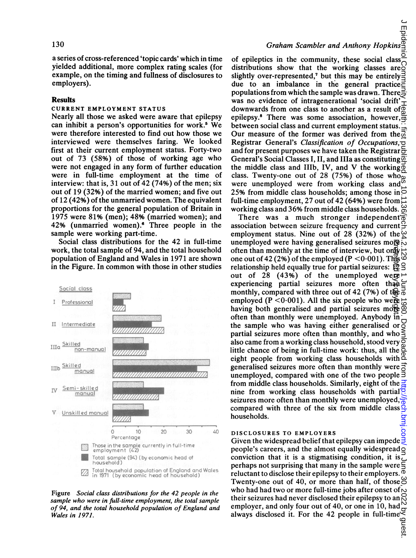a series of cross-referenced 'topic cards' which in time yielded additional, more complex rating scales (for example, on the timing and fullness of disclosures to employers).

# Results

## CURRENT EMPLOYMENT STATUS

Nearly all those we asked were aware that epilepsy can inhibit a person's opportunities for work.<sup>5</sup> We were therefore interested to find out how those we interviewed were themselves faring. We looked first at their current employment status. Forty-two out of 73 (58%) of those of working age who were not engaged in any form of further education were in full-time employment at the time of interview: that is, 31 out of 42 (74%) of the men; six out of 19 (32%) of the married women; and five out of 12 (42%) of the unmarried women. The equivalent proportions for the general population of Britain in 1975 were 81% (men); 48% (married women); and 42% (unmarried women).6 Three people in the sample were working part-time.

Social class distributions for the 42 in full-time work, the total sample of 94, and the total household population of England and Wales in 1971 are shown



Figure Social class distributions for the 42 people in the sample who were in full-time employment, the total sample of 94, and the total household population of England and Wales in 1971.

# Graham Scambler and Anthony Hopkins $\frac{\mathfrak{D}}{\mathfrak{D}}$

m

of epileptics in the community, these social class distributions show that the working classes are  $\circ$ slightly over-represented,<sup>7</sup> but this may be entirely $\exists$ due to an imbalance in the general practice populations from which the sample was drawn. There was no evidence of intragenerational 'social drift' downwards from one class to another as a result of  $\overline{\mathbb{Q}}$ epilepsy.<sup>8</sup> There was some association, however,  $\bar{a}$ between social class and current employment status. Our measure of the former was derived from the  $\overline{5}$ Registrar General's Classification of Occupations,  $\sigma$ and for present purposes we have taken the Registrar  $\bar{\sigma}$ General's Social Classes I, II, and IIIa as constituting  $\overline{\omega}$ the middle class and IIIb, IV, and V the working  $\overline{g}$ class. Twenty-one out of 28 (75%) of those who were unemployed were from working class and<sup>6</sup> 25% from middle class households; among those in $\circ$ full-time employment, 27 out of 42 (64%) were from  $\vec{\rightharpoonup}$ working class and 36% from middle class households.  $\frac{\omega}{\Omega}$ 

There was a much stronger independent<sub>n</sub> association between seizure frequency and current  $\frac{1}{2}$ employment status. Nine out of 28 (32%) of the  $\&$ unemployed were having generalised seizures more  $\overline{\text{PO}}$ <br>often than monthly at the time of interview, but only  $\overrightarrow{\text{O}}$ often than monthly at the time of interview, but only one out of 42 (2%) of the employed (P  $\leq$  0.001). This relationship held equally true for partial seizures:  $\mathfrak{P}$ out of  $28$  (43%) of the unemployed were experiencing partial seizures more often than  $\epsilon$ monthly, compared with three out of 42 (7%) of the  $\frac{3}{6}$ employed (P < 0.001). All the six people who were  $\frac{1}{\infty}$ having both generalised and partial seizures more  $\otimes$ often than monthly were unemployed. Anybody in the sample who was having either generalised or  $\overline{O}$ partial seizures more often than monthly, and who  $\leq$ also came from a working class household, stood very  $\overline{S}$ little chance of being in full-time work: thus, all the eight people from working class households with generalised seizures more often than monthly were  $\vec{a}$ unemployed, compared with one of the two people  $\bar{3}$ from middle class households. Similarly, eight of the  $\Xi$ nine from working class households with partial<sup> $\frac{1}{2}$ </sup> seizures more often than monthly were unemployed, compared with three of the six from middle class  $\frac{a}{b}$ households. always disclosed it. For the 42 people in full-timeProtected by copyright. J Epidemiol Community Health: first published as 10.1136/jech.34.2.129 on 1 June 1980. Downloaded from <http://jech.bmj.com/> on June 30, 2022 by guest.

## DISCLOSURES TO EMPLOYERS

Given the widespread belief that epilepsy can impede  $\overline{\mathsf{B}}$ people's careers, and the almost equally widespread conviction that it is a stigmatising condition, it is  $\vec{c}$ perhaps not surprising that many in the sample were  $\leq$ reluctant to disclose their epilepsy to their employers. Twenty-one out of 40, or more than half, of those  $\mathfrak{S}$ who had had two or more full-time jobs after onset of  $\sim$ their seizures had never disclosed their epilepsy to an employer, and only four out of 40, or one in 10, had always disclosed it. For the 42 people in full-time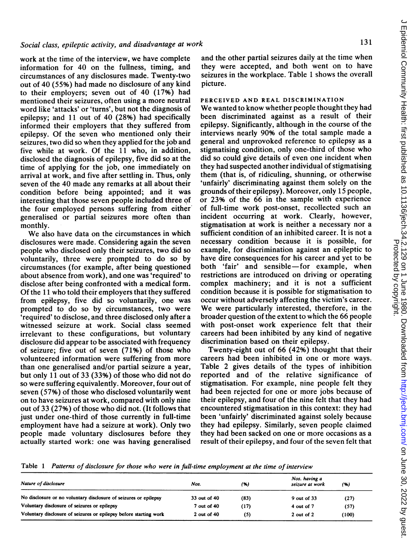work at the time of the interview, we have complete information for 40 on the fullness, timing, and circumstances of any disclosures made. Twenty-two out of 40 (55%) had made no disclosure of any kind to their employers; seven out of 40 (17%) had mentioned their seizures, often using a more neutral word like 'attacks' or 'turns', but not the diagnosis of epilepsy; and 11 out of 40 (28%) had specifically informed their employers that they suffered from epilepsy. Of the seven who mentioned only their seizures, two did so when they applied for the job and five while at work. Of the 11 who, in addition, disclosed the diagnosis of epilepsy, five did so at the time of applying for the job, one immediately on arrival at work, and five after settling in. Thus, only seven of the 40 made any remarks at all about their condition before being appointed; and it was interesting that those seven people included three of the four employed persons suffering from either generalised or partial seizures more often than monthly.

We also have data on the circumstances in which disclosures were made. Considering again the seven people who disclosed only their seizures, two did so voluntarily, three were prompted to do so by circumstances (for example, after being questioned about absence from work), and one was 'required' to disclose after being confronted with a medical form. Of the 11 who told their employers that they suffered from epilepsy, five did so voluntarily, one was prompted to do so by circumstances, two were 'required' to disclose, and three disclosed only after a witnessed seizure at work. Social class seemed irrelevant to these configurations, but voluntary disclosure did appear to be associated with frequency of seizure; five out of seven (71%) of those who volunteered information were suffering from more than one generalised and/or partial seizure a year, but only 11 out of 33 (33%) of those who did not do so were suffering equivalently. Moreover, four out of seven (57%) of those who disclosed voluntarily went on to have seizures at work, compared with only nine out of 33 (27%) of those who did not. (It follows that just under one-third of those currently in full-time employment have had a seizure at work). Only two people made voluntary disclosures before they actually started work: one was having generalised

and the other partial seizures daily at the time when they were accepted, and both went on to have seizures in the workplace. Table <sup>1</sup> shows the overall picture.

#### PERCEIVED AND REAL DISCRIMINATION

We wanted to know whether people thought they had been discriminated against as a result of their epilepsy. Significantly, although in the course of the interviews nearly 90% of the total sample made a general and unprovoked reference to epilepsy as a stigmatising condition, only one-third of those who did so could give details of even one incident when they had suspected another individual of stigmatising them (that is, of ridiculing, shunning, or otherwise 'unfairly' discriminating against them solely on the grounds of their epilepsy). Moreover, only 15 people, or 23% of the 66 in the sample with experience of full-time work post-onset, recollected such an incident occurring at work. Clearly, however, stigmatisation at work is neither a necessary nor a sufficient condition of an inhibited career. It is not a necessary condition because it is possible, for example, for discrimination against an epileptic to have dire consequences for his career and yet to be both 'fair' and sensible-for example, when restrictions are introduced on driving or operating complex machinery; and it is not a sufficient condition because it is possible for stigmatisation to occur without adversely affecting the victim's career. We were particularly interested, therefore, in the broader question of the extent to which the 66 people with post-onset work experience felt that their careers had been inhibited by any kind of negative discrimination based on their epilepsy.

Twenty-eight out of 66 (42%) thought that their careers had been inhibited in one or more ways. Table 2 gives details of the types of inhibition reported and of the relative significance of stigmatisation. For example, nine people felt they had been rejected for one or more jobs because of their epilepsy, and four of the nine felt that they had encountered stigmatisation in this context: they had been 'unfairly' discriminated against solely because they had epilepsy. Similarly, seven people claimed they had been sacked on one or more occasions as a result of their epilepsy, and four of the seven felt that

Table <sup>1</sup> Patterns of disclosure for those who were in full-time employment at the time of interview

| Nature of disclosure                                              | Nos.         | (96) | Nos. having a<br>seizure at work | (96)  |
|-------------------------------------------------------------------|--------------|------|----------------------------------|-------|
| No disclosure or no voluntary disclosure of seizures or epilepsy  | 33 out of 40 | (83) | 9 out of 33                      | (27)  |
| Voluntary disclosure of seizures or epilepsy                      | 7 out of 40  | (17) | 4 out of 7                       | (57)  |
| Voluntary disclosure of seizures or epilepsy before starting work | 2 out of 40  | (5)  | 2 out of 2                       | (100) |

 $\epsilon$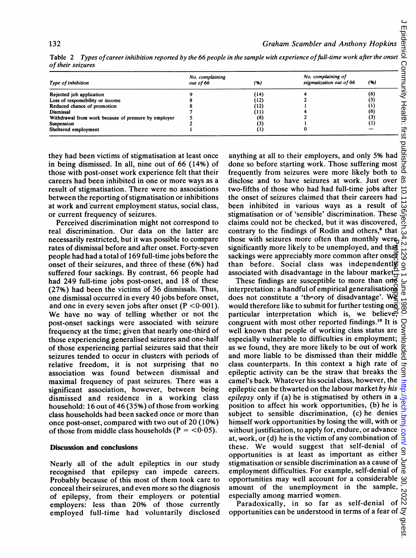| Table 2 Types of career inhibition reported by the 66 people in the sample with experience of full-time work after the onset<br>of their seizures |                                     |       |                                                |                     |  |  |  |  |
|---------------------------------------------------------------------------------------------------------------------------------------------------|-------------------------------------|-------|------------------------------------------------|---------------------|--|--|--|--|
| Type of inhibition                                                                                                                                | No. complaining<br>(%)<br>out of 66 |       | No. complaining of<br>stigmatization out of 66 | (96)                |  |  |  |  |
| Rejected job application                                                                                                                          |                                     | (14)  |                                                | (6)                 |  |  |  |  |
| Loss of responsibility or income                                                                                                                  |                                     | (12)  |                                                | (3)                 |  |  |  |  |
| Reduced chance of promotion                                                                                                                       |                                     | (12)  |                                                | $_{(1)}$            |  |  |  |  |
| <b>Dismissal</b>                                                                                                                                  |                                     | (11)  |                                                | (6)                 |  |  |  |  |
| Withdrawal from work because of pressure by employer                                                                                              |                                     | $(8)$ |                                                | (3)                 |  |  |  |  |
| Suspension                                                                                                                                        |                                     | (3)   |                                                | $\scriptstyle{(1)}$ |  |  |  |  |
| Sheltered employment                                                                                                                              |                                     | (1)   |                                                |                     |  |  |  |  |

of their seizures

they had been victims of stigmatisation at least once in being dismissed. In all, nine out of 66 (14%) of those with post-onset work experience felt that their careers had been inhibited in one or more ways as a result of stigmatisation. There were no associations between the reporting of stigmatisation or inhibitions at work and'current employment status, social class, or current frequency of seizures.

Perceived discrimination might not correspond to real discrimination. Our data on the latter are necessarily restricted, but it was possible to compare rates of dismissal before and after onset. Forty-seven people had had a total of 169 full-time jobs before the onset of their seizures, and three of these (6%) had suffered four sackings. By contrast, 66 people had had 249 full-time jobs post-onset, and 18 of these (27%) had been the victims of 36 dismissals. Thus, one dismissal occurred in every 40 jobs before onset, and one in every seven jobs after onset  $(P < 0.001)$ . We have no way of telling whether or not the post-onset sackings were associated with seizure frequency at the time; given that nearly one-third of those experiencing generalised seizures and one-half of those experiencing partial seizures said that their seizures tended to occur in clusters with periods of relative freedom, it is not surprising that no association was found between dismissal and maximal frequency of past seizures. There was a significant association, however, between being dismissed and residence in a working class household: 16 out of 46 (35%) of those from working class households had been sacked once or more than once post-onset, compared with two out of 20 (10%) of those from middle class households ( $P = < 0.05$ ).

## Discussion and conclusions

Nearly all of the adult epileptics in our study recognised that epilepsy can impede careers. Probably because of this most of them took care to conceal their seizures, and even more so the diagnosis of epilepsy, from their employers or potential employers: less than 20% of those currently employed full-time had voluntarily disclosed anything at all to their employers, and only 5% had done so before starting work. Those suffering most frequently from seizures were more likely both to disclose and to have seizures at work. Just over  $\frac{\omega}{\omega}$ two-fifths of those who had had full-time jobs after the onset of seizures claimed that their careers had been inhibited in various ways as a result of stigmatisation or of 'sensible' discrimination. These claims could not be checked, but it was discovered, contrary to the findings of Rodin and others,<sup>9</sup> that those with seizures more often than monthly were significantly more likely to be unemployed, and that sackings were appreciably more common after onse $\overline{\phi}$ than before. Social class was independently associated with disadvantage in the labour market.

These findings are susceptible to more than one interpretation: a handful of empirical generalisations does not constitute <sup>a</sup> 'theory of disadvantage'. We would therefore like to submit for further testing one particular interpretation which is, we believe, congruent with most other reported findings.'0 It is well known that people of working class status are especially vulnerable to difficulties in employment; as we found, they are more likely to be out of work and more liable to be dismissed than their middle class counterparts. In this context a high rate of epileptic activity can be the straw that breaks the camel's back. Whatever his social class, however, the epileptic can be thwarted on the labour market by his epilepsy only if (a) he is stigmatised by others in a position to affect his work opportunities, (b) he is subject to sensible discrimination, (c) he denies himself work opportunities by losing the will, with or without justification, to apply for, endure, or advance at, work, or (d) he is the victim of any combination of these. We would suggest that self-denial of opportunities is at least as important as either stigmatisation or sensible discrimination as a cause of employment difficulties. For example, self-denial of opportunities may well account for a considerable amount of the unemployment in the sample, especially among married women. Protected by copyright.

Paradoxically, in so far as self-denial of  $\frac{1}{10}$ <br>portunities can be understood in terms of a fear of  $\frac{1}{20}$ <br> $\frac{6}{9}$ opportunities can be understood in terms of a fear of